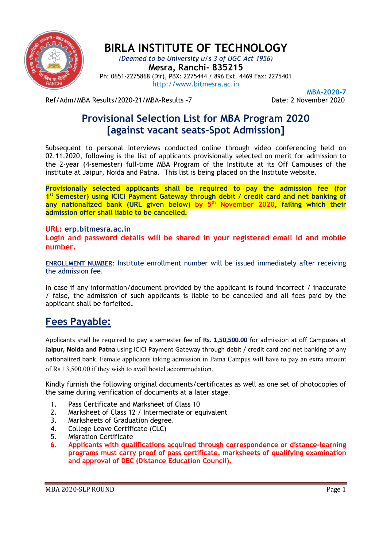

## BIRLA INSTITUTE OF TECHNOLOGY

(Deemed to be University u/s 3 of UGC Act 1956) Mesra, Ranchi- 835215 Ph: 0651-2275868 (Dir), PBX: 2275444 / 896 Ext. 4469 Fax: 2275401 http://www.bitmesra.ac.in

Ref/Adm/MBA Results/2020-21/MBA-Results -7 Date: 2 November 2020

MBA-2020-7

## Provisional Selection List for MBA Program 2020 [against vacant seats-Spot Admission]

Subsequent to personal interviews conducted online through video conferencing held on 02.11.2020, following is the list of applicants provisionally selected on merit for admission to the 2-year (4-semester) full-time MBA Program of the Institute at its Off Campuses of the institute at Jaipur, Noida and Patna. This list is being placed on the Institute website.

Provisionally selected applicants shall be required to pay the admission fee (for 1<sup>st</sup> Semester) using ICICI Payment Gateway through debit / credit card and net banking of any nationalized bank (URL given below) by  $5<sup>th</sup>$  November 2020, failing which their admission offer shall liable to be cancelled.

#### URL: erp.bitmesra.ac.in

Login and password details will be shared in your registered email id and mobile number.

ENROLLMENT NUMBER: Institute enrollment number will be issued immediately after receiving the admission fee.

In case if any information/document provided by the applicant is found incorrect / inaccurate / false, the admission of such applicants is liable to be cancelled and all fees paid by the applicant shall be forfeited.

### Fees Payable:

Applicants shall be required to pay a semester fee of Rs. 1,50,500.00 for admission at off Campuses at Jaipur, Noida and Patna using ICICI Payment Gateway through debit / credit card and net banking of any nationalized bank. Female applicants taking admission in Patna Campus will have to pay an extra amount of Rs 13,500.00 if they wish to avail hostel accommodation.

Kindly furnish the following original documents/certificates as well as one set of photocopies of the same during verification of documents at a later stage.

- 1. Pass Certificate and Marksheet of Class 10
- 2. Marksheet of Class 12 / Intermediate or equivalent
- 3. Marksheets of Graduation degree.
- 4. College Leave Certificate (CLC)
- 5. Migration Certificate
- 6. Applicants with qualifications acquired through correspondence or distance-learning programs must carry proof of pass certificate, marksheets of qualifying examination and approval of DEC (Distance Education Council).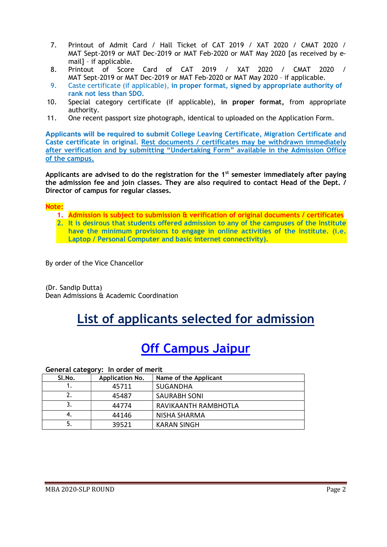- 7. Printout of Admit Card / Hall Ticket of CAT 2019 / XAT 2020 / CMAT 2020 / MAT Sept-2019 or MAT Dec-2019 or MAT Feb-2020 or MAT May 2020 [as received by email] – if applicable.
- 8. Printout of Score Card of CAT 2019 / XAT 2020 / CMAT 2020 / MAT Sept-2019 or MAT Dec-2019 or MAT Feb-2020 or MAT May 2020 – if applicable.
- 9. Caste certificate (if applicable), in proper format, signed by appropriate authority of rank not less than SDO.
- 10. Special category certificate (if applicable), in proper format, from appropriate authority.
- 11. One recent passport size photograph, identical to uploaded on the Application Form.

Applicants will be required to submit College Leaving Certificate, Migration Certificate and Caste certificate in original. Rest documents / certificates may be withdrawn immediately after verification and by submitting "Undertaking Form" available in the Admission Office of the campus.

Applicants are advised to do the registration for the  $1<sup>st</sup>$  semester immediately after paying the admission fee and join classes. They are also required to contact Head of the Dept. / Director of campus for regular classes.

#### Note:

- 1. Admission is subject to submission & verification of original documents / certificates
- 2. It is desirous that students offered admission to any of the campuses of the Institute have the minimum provisions to engage in online activities of the Institute. (i.e. Laptop / Personal Computer and basic internet connectivity).

By order of the Vice Chancellor

(Dr. Sandip Dutta) Dean Admissions & Academic Coordination

# List of applicants selected for admission

# Off Campus Jaipur

General category: In order of merit

| Sl.No. | Application No. | Name of the Applicant |
|--------|-----------------|-----------------------|
|        | 45711           | <b>SUGANDHA</b>       |
|        | 45487           | <b>SAURABH SONI</b>   |
|        | 44774           | RAVIKAANTH RAMBHOTLA  |
| 4.     | 44146           | NISHA SHARMA          |
|        | 39521           | <b>KARAN SINGH</b>    |